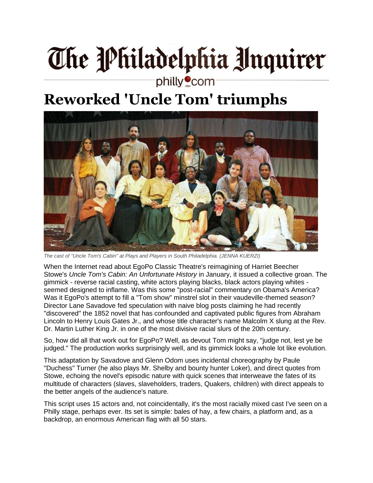## The Philadelphia Unquirer

## philly<sup>o</sup>com

## **Reworked 'Uncle Tom' triumphs**



*The cast of "Uncle Tom's Cabin" at Plays and Players in South Philadelphia. (JENNA KUERZI)*

When the Internet read about EgoPo Classic Theatre's reimagining of Harriet Beecher Stowe's *Uncle Tom's Cabin: An Unfortunate History* in January, it issued a collective groan. The gimmick - reverse racial casting, white actors playing blacks, black actors playing whites seemed designed to inflame. Was this some "post-racial" commentary on Obama's America? Was it EgoPo's attempt to fill a "Tom show" minstrel slot in their vaudeville-themed season? Director Lane Savadove fed speculation with naive blog posts claiming he had recently "discovered" the 1852 novel that has confounded and captivated public figures from Abraham Lincoln to Henry Louis Gates Jr., and whose title character's name Malcolm X slung at the Rev. Dr. Martin Luther King Jr. in one of the most divisive racial slurs of the 20th century.

So, how did all that work out for EgoPo? Well, as devout Tom might say, "judge not, lest ye be judged." The production works surprisingly well, and its gimmick looks a whole lot like evolution.

This adaptation by Savadove and Glenn Odom uses incidental choreography by Paule "Duchess" Turner (he also plays Mr. Shelby and bounty hunter Loker), and direct quotes from Stowe, echoing the novel's episodic nature with quick scenes that interweave the fates of its multitude of characters (slaves, slaveholders, traders, Quakers, children) with direct appeals to the better angels of the audience's nature.

This script uses 15 actors and, not coincidentally, it's the most racially mixed cast I've seen on a Philly stage, perhaps ever. Its set is simple: bales of hay, a few chairs, a platform and, as a backdrop, an enormous American flag with all 50 stars.